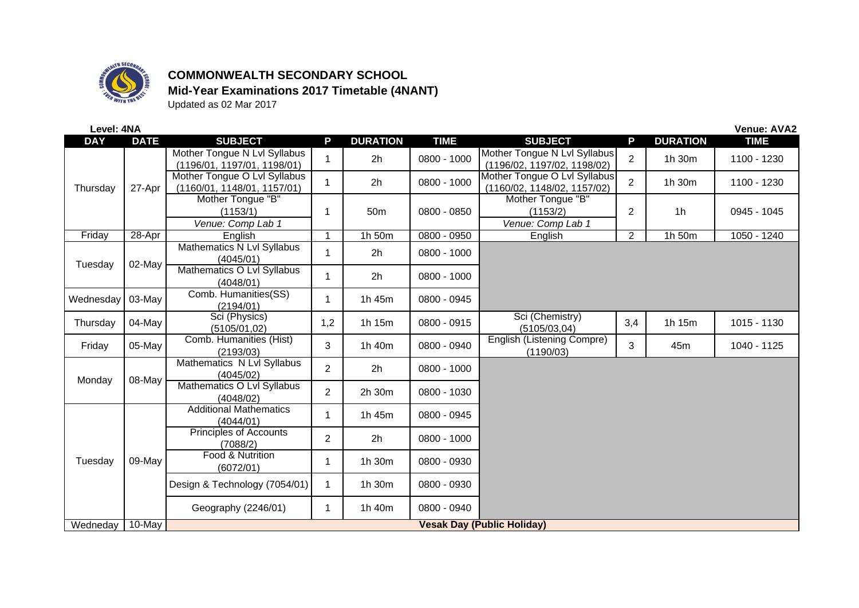

## **COMMONWEALTH SECONDARY SCHOOL Mid-Year Examinations 2017 Timetable (4NANT)**

Updated as 02 Mar 2017

| Level: 4NA<br><b>Venue: AVA2</b> |             |                                                             |                |                 |               |                                                             |                |                 |               |
|----------------------------------|-------------|-------------------------------------------------------------|----------------|-----------------|---------------|-------------------------------------------------------------|----------------|-----------------|---------------|
| <b>DAY</b>                       | <b>DATE</b> | <b>SUBJECT</b>                                              | P              | <b>DURATION</b> | <b>TIME</b>   | <b>SUBJECT</b>                                              | P              | <b>DURATION</b> | <b>TIME</b>   |
| Thursday                         | 27-Apr      | Mother Tongue N Lvl Syllabus<br>(1196/01, 1197/01, 1198/01) |                | 2h              | 0800 - 1000   | Mother Tongue N Lvl Syllabus<br>(1196/02, 1197/02, 1198/02) | $\overline{2}$ | 1h 30m          | 1100 - 1230   |
|                                  |             | Mother Tongue O Lvl Syllabus<br>(1160/01, 1148/01, 1157/01) | $\mathbf{1}$   | 2h              | 0800 - 1000   | Mother Tongue O Lvl Syllabus<br>(1160/02, 1148/02, 1157/02) | $\overline{2}$ | 1h 30m          | 1100 - 1230   |
|                                  |             | Mother Tongue "B"<br>(1153/1)<br>Venue: Comp Lab 1          | 1              | 50 <sub>m</sub> | 0800 - 0850   | Mother Tongue "B"<br>(1153/2)<br>Venue: Comp Lab 1          | $\overline{2}$ | 1 <sub>h</sub>  | 0945 - 1045   |
| Friday                           | 28-Apr      | English                                                     | -1             | 1h 50m          | $0800 - 0950$ | English                                                     | $\overline{2}$ | 1h 50m          | $1050 - 1240$ |
| Tuesday                          | 02-May      | Mathematics N Lvl Syllabus<br>(4045/01)                     |                | 2h              | 0800 - 1000   |                                                             |                |                 |               |
|                                  |             | Mathematics O Lvl Syllabus<br>(4048/01)                     |                | 2 <sub>h</sub>  | 0800 - 1000   |                                                             |                |                 |               |
| Wednesday                        | 03-May      | Comb. Humanities(SS)<br>(2194/01)                           | 1              | 1h 45m          | 0800 - 0945   |                                                             |                |                 |               |
| Thursday                         | 04-May      | Sci (Physics)<br>(5105/01, 02)                              | 1,2            | 1h 15m          | 0800 - 0915   | Sci (Chemistry)<br>(5105/03, 04)                            | 3,4            | 1h 15m          | 1015 - 1130   |
| Friday                           | 05-May      | Comb. Humanities (Hist)<br>(2193/03)                        | 3              | 1h 40m          | 0800 - 0940   | English (Listening Compre)<br>(1190/03)                     | 3              | 45m             | 1040 - 1125   |
| Monday                           | 08-May      | Mathematics N Lvl Syllabus<br>(4045/02)                     | $\overline{2}$ | 2h              | 0800 - 1000   |                                                             |                |                 |               |
|                                  |             | Mathematics O Lvl Syllabus<br>(4048/02)                     | $\overline{2}$ | 2h 30m          | 0800 - 1030   |                                                             |                |                 |               |
| Tuesday                          | 09-May      | <b>Additional Mathematics</b><br>(4044/01)                  | 1              | 1h 45m          | 0800 - 0945   |                                                             |                |                 |               |
|                                  |             | <b>Principles of Accounts</b><br>(7088/2)                   | $\overline{2}$ | 2h              | 0800 - 1000   |                                                             |                |                 |               |
|                                  |             | Food & Nutrition<br>(6072/01)                               | 1              | 1h 30m          | 0800 - 0930   |                                                             |                |                 |               |
|                                  |             | Design & Technology (7054/01)                               |                | 1h 30m          | 0800 - 0930   |                                                             |                |                 |               |
|                                  |             | Geography (2246/01)                                         | 1              | 1h 40m          | 0800 - 0940   |                                                             |                |                 |               |
| Wedneday                         | $10$ -May   | <b>Vesak Day (Public Holiday)</b>                           |                |                 |               |                                                             |                |                 |               |